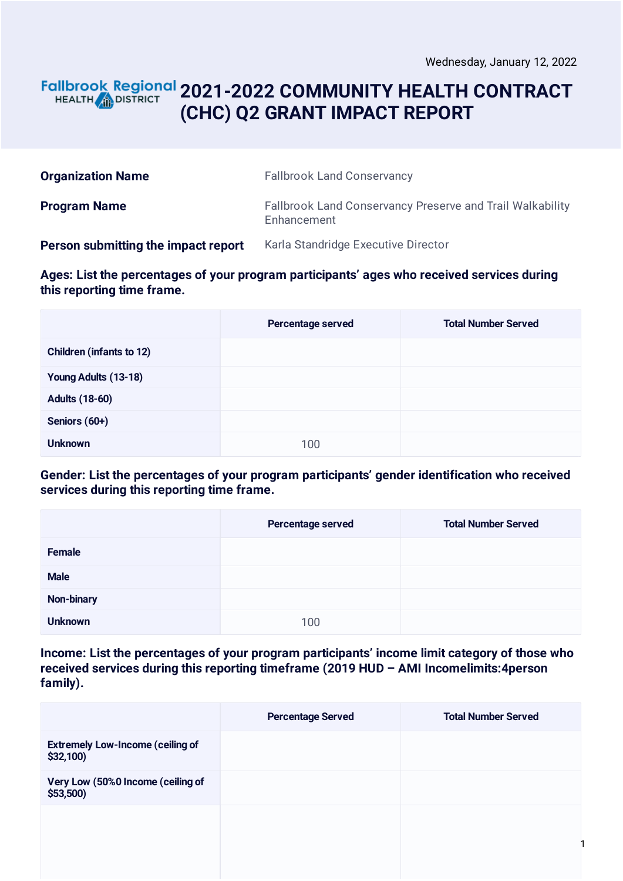#### **2021-2022 COMMUNITY HEALTH CONTRACT** HEALTH **AND DISTRICT (CHC) Q2 GRANT IMPACT REPORT**

| <b>Organization Name</b>            | <b>Fallbrook Land Conservancy</b>                                        |
|-------------------------------------|--------------------------------------------------------------------------|
| <b>Program Name</b>                 | Fallbrook Land Conservancy Preserve and Trail Walkability<br>Enhancement |
| Person submitting the impact report | Karla Standridge Executive Director                                      |

**Ages: List the percentages of your program participants' ages who received services during this reporting time frame.**

|                                 | Percentage served | <b>Total Number Served</b> |
|---------------------------------|-------------------|----------------------------|
| <b>Children (infants to 12)</b> |                   |                            |
| Young Adults (13-18)            |                   |                            |
| <b>Adults (18-60)</b>           |                   |                            |
| Seniors (60+)                   |                   |                            |
| <b>Unknown</b>                  | 100               |                            |

**Gender: List the percentages of your program participants' gender identification who received services during this reporting time frame.**

|                | Percentage served | <b>Total Number Served</b> |
|----------------|-------------------|----------------------------|
| Female         |                   |                            |
| <b>Male</b>    |                   |                            |
| Non-binary     |                   |                            |
| <b>Unknown</b> | 100               |                            |

**Income: List the percentages of your program participants' income limit category of those who received services during this reporting timeframe (2019 HUD – AMI Incomelimits:4person family).**

|                                                        | <b>Percentage Served</b> | <b>Total Number Served</b> |
|--------------------------------------------------------|--------------------------|----------------------------|
| <b>Extremely Low-Income (ceiling of</b><br>$$32,100$ ) |                          |                            |
| Very Low (50%0 Income (ceiling of<br>$$53,500$ )       |                          |                            |
|                                                        |                          |                            |
|                                                        |                          |                            |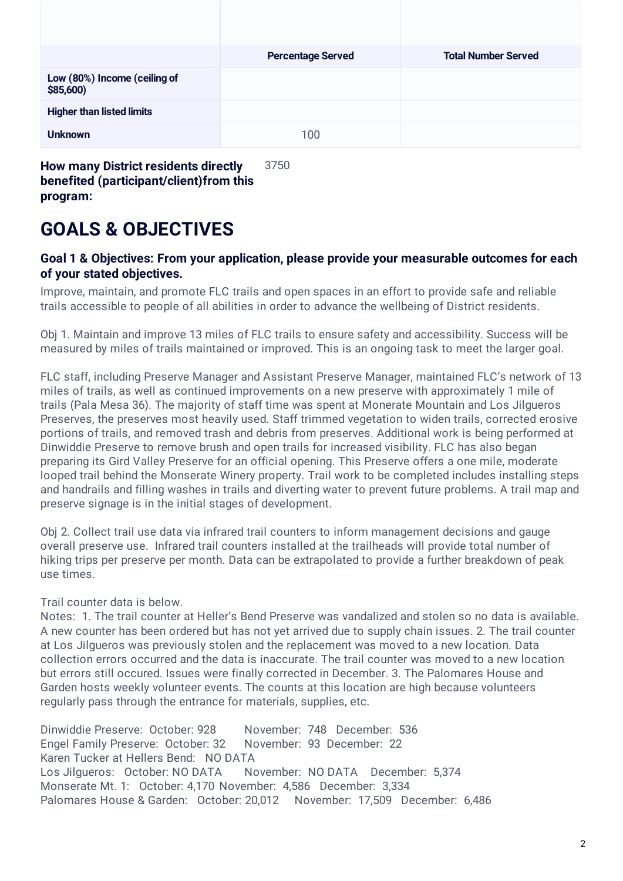|                                          | <b>Percentage Served</b> | <b>Total Number Served</b> |
|------------------------------------------|--------------------------|----------------------------|
| Low (80%) Income (ceiling of<br>\$85,600 |                          |                            |
| <b>Higher than listed limits</b>         |                          |                            |
| <b>Unknown</b>                           | 100                      |                            |

**benefited (participant/client)from this program:**

## **GOALS & OBJECTIVES**

#### **Goal 1 & Objectives: From your application, please provide your measurable outcomes for each of your stated objectives.**

Improve, maintain, and promote FLC trails and open spaces in an effort to provide safe and reliable trails accessible to people of all abilities in order to advance the wellbeing of District residents.

Obj 1. Maintain and improve 13 miles of FLC trails to ensure safety and accessibility. Success will be measured by miles of trails maintained or improved. This is an ongoing task to meet the larger goal.

FLC staff, including Preserve Manager and Assistant Preserve Manager, maintained FLC's network of 13 miles of trails, as well as continued improvements on a new preserve with approximately 1 mile of trails (Pala Mesa 36). The majority of staff time was spent at Monerate Mountain and Los Jilgueros Preserves, the preserves most heavily used. Staff trimmed vegetation to widen trails, corrected erosive portions of trails, and removed trash and debris from preserves. Additional work is being performed at Dinwiddie Preserve to remove brush and open trails for increased visibility. FLC has also began preparing its Gird Valley Preserve for an official opening. This Preserve offers a one mile, moderate looped trail behind the Monserate Winery property. Trail work to be completed includes installing steps and handrails and filling washes in trails and diverting water to prevent future problems. A trail map and preserve signage is in the initial stages of development.

Obj 2. Collect trail use data via infrared trail counters to inform management decisions and gauge overall preserve use. Infrared trail counters installed at the trailheads will provide total number of hiking trips per preserve per month. Data can be extrapolated to provide a further breakdown of peak use times.

Trail counter data is below.

Notes: 1. The trail counter at Heller's Bend Preserve was vandalized and stolen so no data is available. A new counter has been ordered but has not yet arrived due to supply chain issues. 2. The trail counter at Los Jilgueros was previously stolen and the replacement was moved to a new location. Data collection errors occurred and the data is inaccurate. The trail counter was moved to a new location but errors still occured. Issues were finally corrected in December. 3. The Palomares House and Garden hosts weekly volunteer events. The counts at this location are high because volunteers regularly pass through the entrance for materials, supplies, etc.

Dinwiddie Preserve: October: 928 November: 748 December: 536 Engel Family Preserve: October: 32 November: 93 December: 22 Karen Tucker at Hellers Bend: NO DATA Los Jilgueros: October: NO DATA November: NO DATA December: 5,374 Monserate Mt. 1: October: 4,170 November: 4,586 December: 3,334 Palomares House & Garden: October: 20,012 November: 17,509 December: 6,486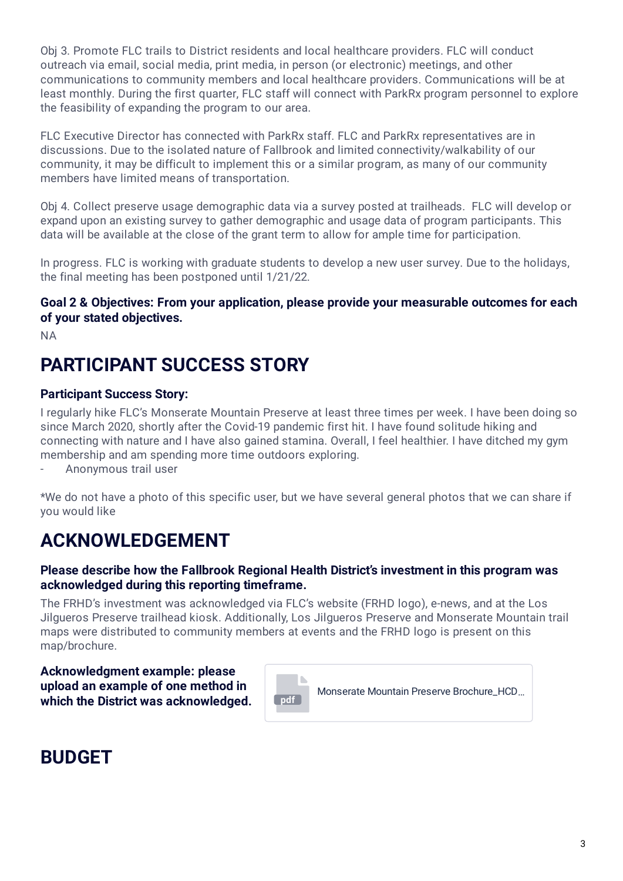Obj 3. Promote FLC trails to District residents and local healthcare providers. FLC will conduct outreach via email, social media, print media, in person (or electronic) meetings, and other communications to community members and local healthcare providers. Communications will be at least monthly. During the first quarter, FLC staff will connect with ParkRx program personnel to explore the feasibility of expanding the program to our area.

FLC Executive Director has connected with ParkRx staff. FLC and ParkRx representatives are in discussions. Due to the isolated nature of Fallbrook and limited connectivity/walkability of our community, it may be difficult to implement this or a similar program, as many of our community members have limited means of transportation.

Obj 4. Collect preserve usage demographic data via a survey posted at trailheads. FLC will develop or expand upon an existing survey to gather demographic and usage data of program participants. This data will be available at the close of the grant term to allow for ample time for participation.

In progress. FLC is working with graduate students to develop a new user survey. Due to the holidays, the final meeting has been postponed until 1/21/22.

#### **Goal 2 & Objectives: From your application, please provide your measurable outcomes for each of your stated objectives.**

NA

# **PARTICIPANT SUCCESS STORY**

#### **Participant Success Story:**

I regularly hike FLC's Monserate Mountain Preserve at least three times per week. I have been doing so since March 2020, shortly after the Covid-19 pandemic first hit. I have found solitude hiking and connecting with nature and I have also gained stamina. Overall, I feel healthier. I have ditched my gym membership and am spending more time outdoors exploring.

- Anonymous trail user

\*We do not have a photo of this specific user, but we have several general photos that we can share if you would like

## **ACKNOWLEDGEMENT**

#### **Please describe how the Fallbrook Regional Health District's investment in this program was acknowledged during this reporting timeframe.**

The FRHD's investment was acknowledged via FLC's website (FRHD logo), e-news, and at the Los Jilgueros Preserve trailhead kiosk. Additionally, Los Jilgueros Preserve and Monserate Mountain trail maps were distributed to community members at events and the FRHD logo is present on this map/brochure.

**Acknowledgment example: please upload an example of one method in which the District was acknowledged. pdf** 



### **BUDGET**